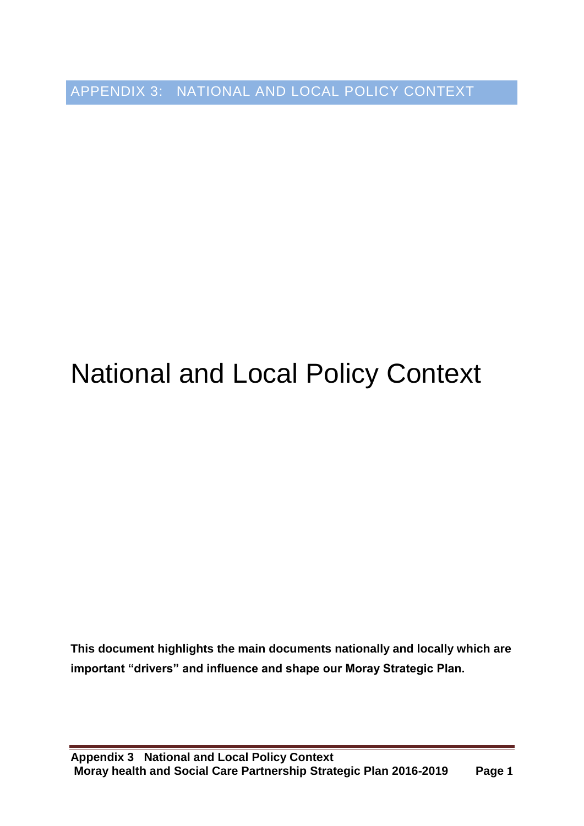APPENDIX 3: NATIONAL AND LOCAL POLICY CONTEXT

# National and Local Policy Context

**This document highlights the main documents nationally and locally which are important "drivers" and influence and shape our Moray Strategic Plan.**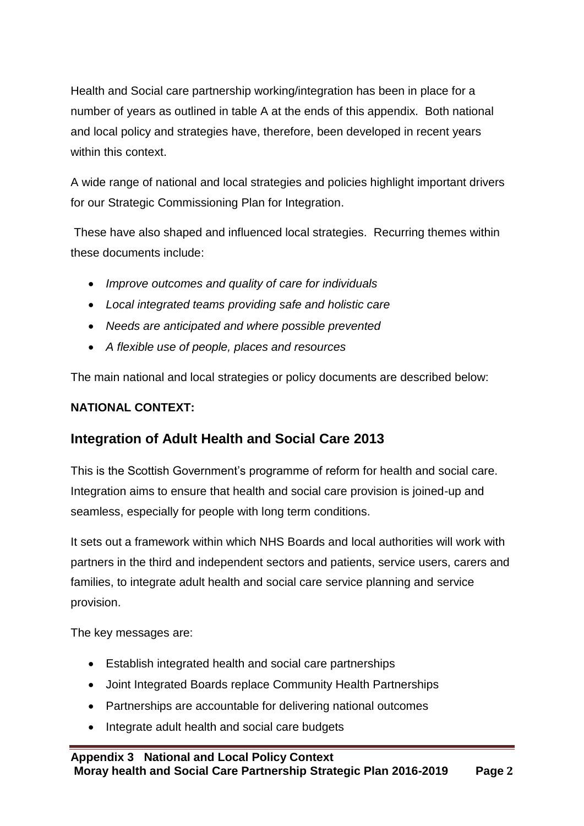Health and Social care partnership working/integration has been in place for a number of years as outlined in table A at the ends of this appendix. Both national and local policy and strategies have, therefore, been developed in recent years within this context.

A wide range of national and local strategies and policies highlight important drivers for our Strategic Commissioning Plan for Integration.

These have also shaped and influenced local strategies. Recurring themes within these documents include:

- *Improve outcomes and quality of care for individuals*
- *Local integrated teams providing safe and holistic care*
- *Needs are anticipated and where possible prevented*
- *A flexible use of people, places and resources*

The main national and local strategies or policy documents are described below:

#### **NATIONAL CONTEXT:**

### **Integration of Adult Health and Social Care 2013**

This is the Scottish Government's programme of reform for health and social care. Integration aims to ensure that health and social care provision is joined-up and seamless, especially for people with long term conditions.

It sets out a framework within which NHS Boards and local authorities will work with partners in the third and independent sectors and patients, service users, carers and families, to integrate adult health and social care service planning and service provision.

The key messages are:

- Establish integrated health and social care partnerships
- Joint Integrated Boards replace Community Health Partnerships
- Partnerships are accountable for delivering national outcomes
- Integrate adult health and social care budgets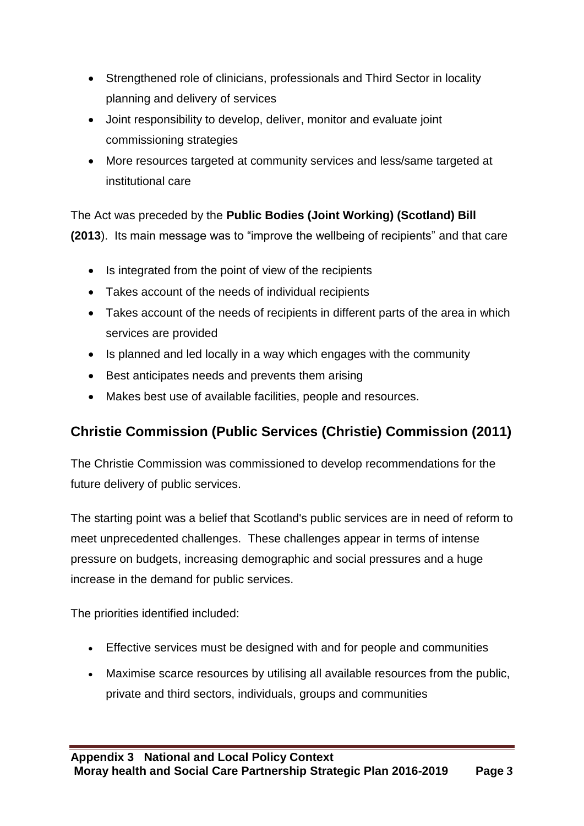- Strengthened role of clinicians, professionals and Third Sector in locality planning and delivery of services
- Joint responsibility to develop, deliver, monitor and evaluate joint commissioning strategies
- More resources targeted at community services and less/same targeted at institutional care

The Act was preceded by the **Public Bodies (Joint Working) (Scotland) Bill (2013**). Its main message was to "improve the wellbeing of recipients" and that care

- Is integrated from the point of view of the recipients
- Takes account of the needs of individual recipients
- Takes account of the needs of recipients in different parts of the area in which services are provided
- Is planned and led locally in a way which engages with the community
- Best anticipates needs and prevents them arising
- Makes best use of available facilities, people and resources.

# **Christie Commission (Public Services (Christie) Commission (2011)**

The Christie Commission was commissioned to develop recommendations for the future delivery of public services.

The starting point was a belief that Scotland's public services are in need of reform to meet unprecedented challenges. These challenges appear in terms of intense pressure on budgets, increasing demographic and social pressures and a huge increase in the demand for public services.

The priorities identified included:

- Effective services must be designed with and for people and communities
- Maximise scarce resources by utilising all available resources from the public, private and third sectors, individuals, groups and communities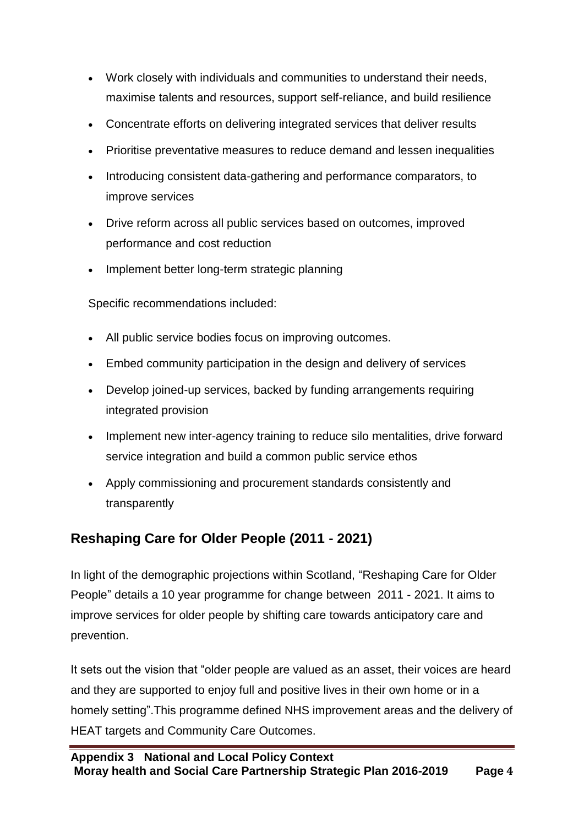- Work closely with individuals and communities to understand their needs, maximise talents and resources, support self-reliance, and build resilience
- Concentrate efforts on delivering integrated services that deliver results
- Prioritise preventative measures to reduce demand and lessen inequalities
- Introducing consistent data-gathering and performance comparators, to improve services
- Drive reform across all public services based on outcomes, improved performance and cost reduction
- Implement better long-term strategic planning

Specific recommendations included:

- All public service bodies focus on improving outcomes.
- Embed community participation in the design and delivery of services
- Develop joined-up services, backed by funding arrangements requiring integrated provision
- Implement new inter-agency training to reduce silo mentalities, drive forward service integration and build a common public service ethos
- Apply commissioning and procurement standards consistently and transparently

# **Reshaping Care for Older People (2011 - 2021)**

In light of the demographic projections within Scotland, "Reshaping Care for Older People" details a 10 year programme for change between 2011 - 2021. It aims to improve services for older people by shifting care towards anticipatory care and prevention.

It sets out the vision that "older people are valued as an asset, their voices are heard and they are supported to enjoy full and positive lives in their own home or in a homely setting".This programme defined NHS improvement areas and the delivery of HEAT targets and Community Care Outcomes.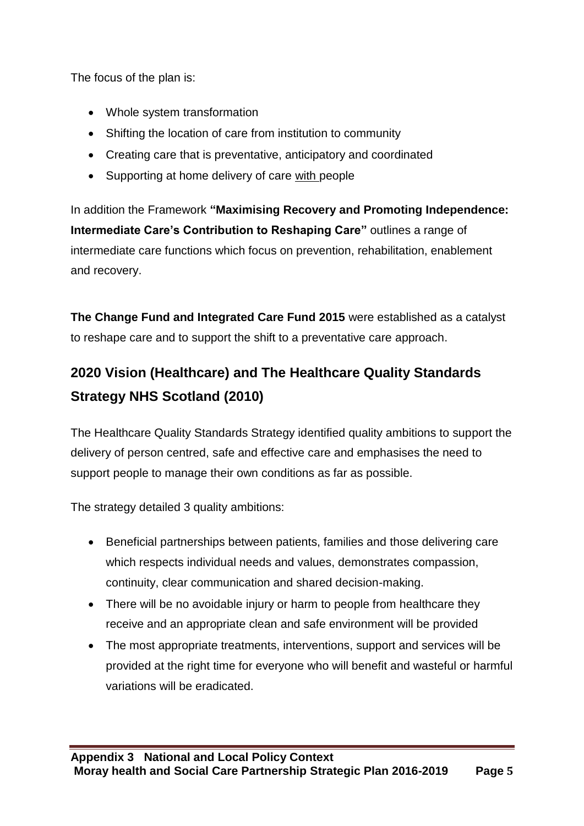The focus of the plan is:

- Whole system transformation
- Shifting the location of care from institution to community
- Creating care that is preventative, anticipatory and coordinated
- Supporting at home delivery of care with people

In addition the Framework **"Maximising Recovery and Promoting Independence: Intermediate Care's Contribution to Reshaping Care"** outlines a range of intermediate care functions which focus on prevention, rehabilitation, enablement and recovery.

**The Change Fund and Integrated Care Fund 2015** were established as a catalyst to reshape care and to support the shift to a preventative care approach.

# **2020 Vision (Healthcare) and The Healthcare Quality Standards Strategy NHS Scotland (2010)**

The Healthcare Quality Standards Strategy identified quality ambitions to support the delivery of person centred, safe and effective care and emphasises the need to support people to manage their own conditions as far as possible.

The strategy detailed 3 quality ambitions:

- Beneficial partnerships between patients, families and those delivering care which respects individual needs and values, demonstrates compassion, continuity, clear communication and shared decision-making.
- There will be no avoidable injury or harm to people from healthcare they receive and an appropriate clean and safe environment will be provided
- The most appropriate treatments, interventions, support and services will be provided at the right time for everyone who will benefit and wasteful or harmful variations will be eradicated.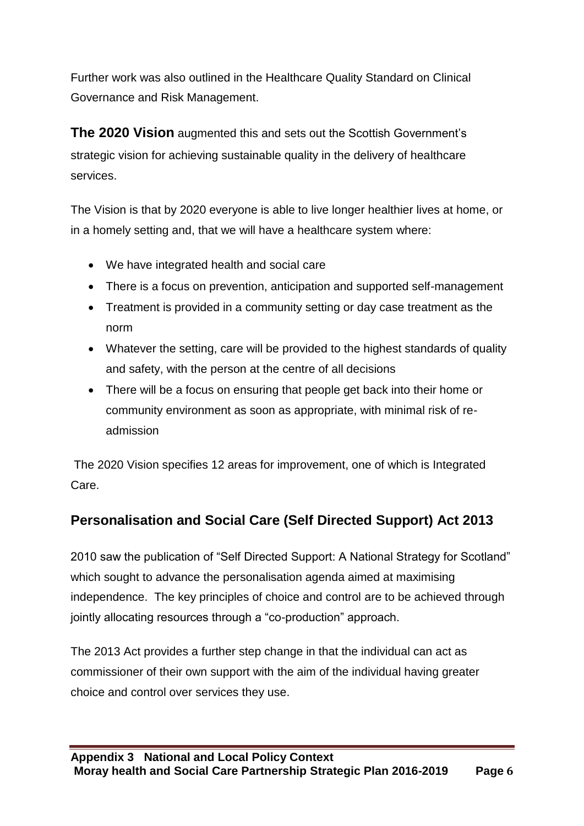Further work was also outlined in the Healthcare Quality Standard on Clinical Governance and Risk Management.

**The 2020 Vision** augmented this and sets out the Scottish Government's strategic vision for achieving sustainable quality in the delivery of healthcare services.

The Vision is that by 2020 everyone is able to live longer healthier lives at home, or in a homely setting and, that we will have a healthcare system where:

- We have integrated health and social care
- There is a focus on prevention, anticipation and supported self-management
- Treatment is provided in a community setting or day case treatment as the norm
- Whatever the setting, care will be provided to the highest standards of quality and safety, with the person at the centre of all decisions
- There will be a focus on ensuring that people get back into their home or community environment as soon as appropriate, with minimal risk of readmission

The 2020 Vision specifies 12 areas for improvement, one of which is Integrated Care.

# **Personalisation and Social Care (Self Directed Support) Act 2013**

2010 saw the publication of "Self Directed Support: A National Strategy for Scotland" which sought to advance the personalisation agenda aimed at maximising independence. The key principles of choice and control are to be achieved through jointly allocating resources through a "co-production" approach.

The 2013 Act provides a further step change in that the individual can act as commissioner of their own support with the aim of the individual having greater choice and control over services they use.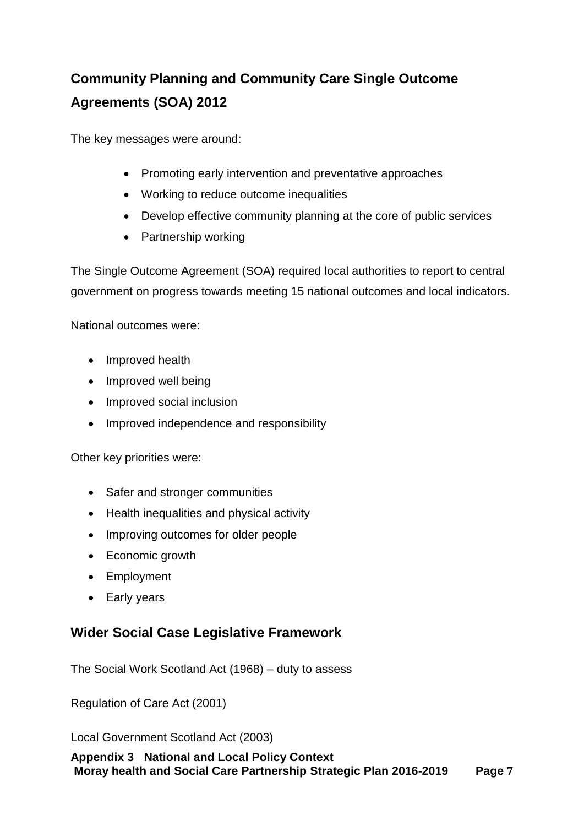# **Community Planning and Community Care Single Outcome Agreements (SOA) 2012**

The key messages were around:

- Promoting early intervention and preventative approaches
- Working to reduce outcome inequalities
- Develop effective community planning at the core of public services
- Partnership working

The Single Outcome Agreement (SOA) required local authorities to report to central government on progress towards meeting 15 national outcomes and local indicators.

National outcomes were:

- Improved health
- Improved well being
- Improved social inclusion
- Improved independence and responsibility

Other key priorities were:

- Safer and stronger communities
- Health inequalities and physical activity
- Improving outcomes for older people
- Economic growth
- Employment
- Early years

#### **Wider Social Case Legislative Framework**

The Social Work Scotland Act (1968) – duty to assess

Regulation of Care Act (2001)

Local Government Scotland Act (2003)

**Appendix 3 National and Local Policy Context Moray health and Social Care Partnership Strategic Plan 2016-2019 Page 7**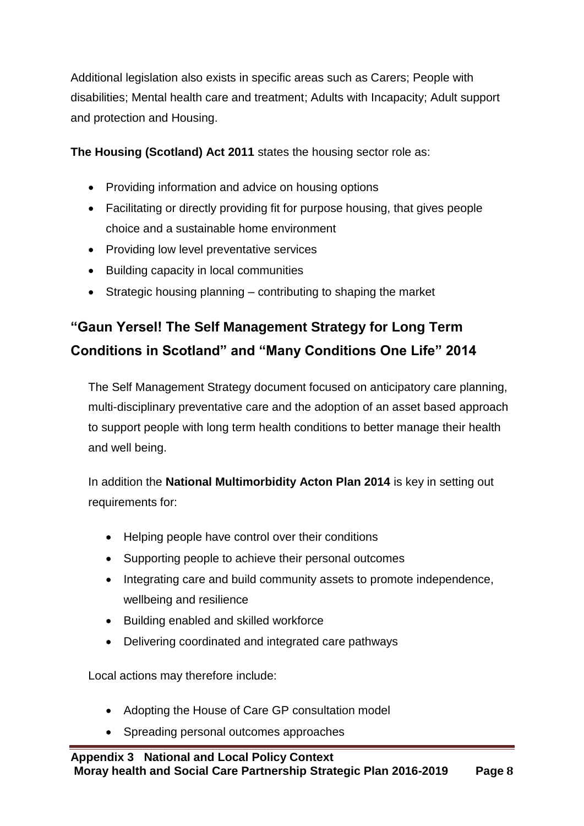Additional legislation also exists in specific areas such as Carers; People with disabilities; Mental health care and treatment; Adults with Incapacity; Adult support and protection and Housing.

**The Housing (Scotland) Act 2011** states the housing sector role as:

- Providing information and advice on housing options
- Facilitating or directly providing fit for purpose housing, that gives people choice and a sustainable home environment
- Providing low level preventative services
- Building capacity in local communities
- $\bullet$  Strategic housing planning contributing to shaping the market

# **"Gaun Yersel! The Self Management Strategy for Long Term Conditions in Scotland" and "Many Conditions One Life" 2014**

The Self Management Strategy document focused on anticipatory care planning, multi-disciplinary preventative care and the adoption of an asset based approach to support people with long term health conditions to better manage their health and well being.

In addition the **National Multimorbidity Acton Plan 2014** is key in setting out requirements for:

- Helping people have control over their conditions
- Supporting people to achieve their personal outcomes
- Integrating care and build community assets to promote independence, wellbeing and resilience
- Building enabled and skilled workforce
- Delivering coordinated and integrated care pathways

Local actions may therefore include:

- Adopting the House of Care GP consultation model
- Spreading personal outcomes approaches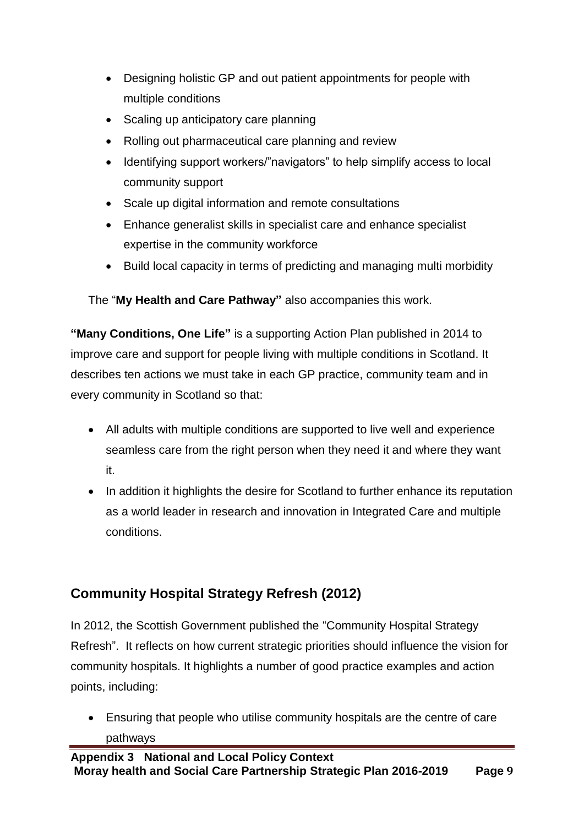- Designing holistic GP and out patient appointments for people with multiple conditions
- Scaling up anticipatory care planning
- Rolling out pharmaceutical care planning and review
- Identifying support workers/"navigators" to help simplify access to local community support
- Scale up digital information and remote consultations
- Enhance generalist skills in specialist care and enhance specialist expertise in the community workforce
- Build local capacity in terms of predicting and managing multi morbidity

The "**My Health and Care Pathway"** also accompanies this work.

**"Many Conditions, One Life"** is a supporting Action Plan published in 2014 to improve care and support for people living with multiple conditions in Scotland. It describes ten actions we must take in each GP practice, community team and in every community in Scotland so that:

- All adults with multiple conditions are supported to live well and experience seamless care from the right person when they need it and where they want it.
- In addition it highlights the desire for Scotland to further enhance its reputation as a world leader in research and innovation in Integrated Care and multiple conditions.

# **Community Hospital Strategy Refresh (2012)**

In 2012, the Scottish Government published the "Community Hospital Strategy Refresh". It reflects on how current strategic priorities should influence the vision for community hospitals. It highlights a number of good practice examples and action points, including:

 Ensuring that people who utilise community hospitals are the centre of care pathways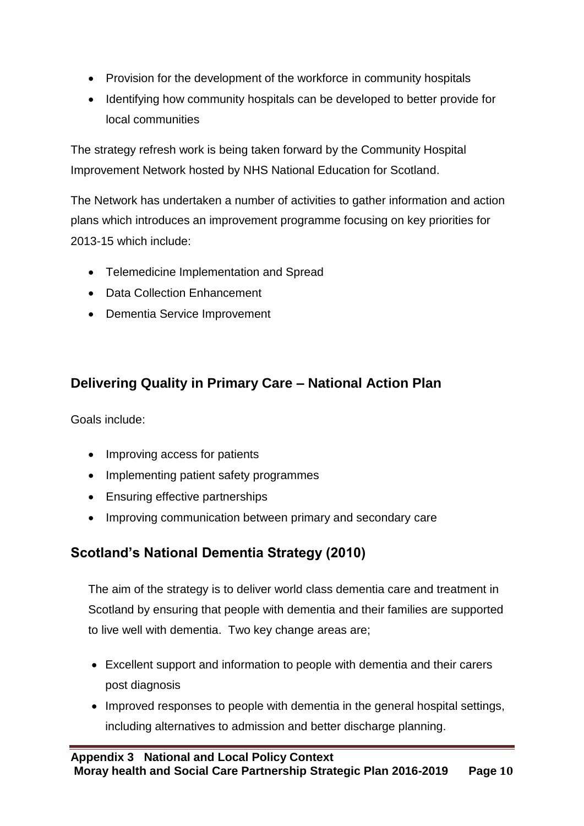- Provision for the development of the workforce in community hospitals
- Identifying how community hospitals can be developed to better provide for local communities

The strategy refresh work is being taken forward by the Community Hospital Improvement Network hosted by NHS National Education for Scotland.

The Network has undertaken a number of activities to gather information and action plans which introduces an improvement programme focusing on key priorities for 2013-15 which include:

- Telemedicine Implementation and Spread
- Data Collection Enhancement
- Dementia Service Improvement

# **Delivering Quality in Primary Care – National Action Plan**

Goals include:

- Improving access for patients
- Implementing patient safety programmes
- Ensuring effective partnerships
- Improving communication between primary and secondary care

# **Scotland's National Dementia Strategy (2010)**

The aim of the strategy is to deliver world class dementia care and treatment in Scotland by ensuring that people with dementia and their families are supported to live well with dementia. Two key change areas are;

- Excellent support and information to people with dementia and their carers post diagnosis
- Improved responses to people with dementia in the general hospital settings, including alternatives to admission and better discharge planning.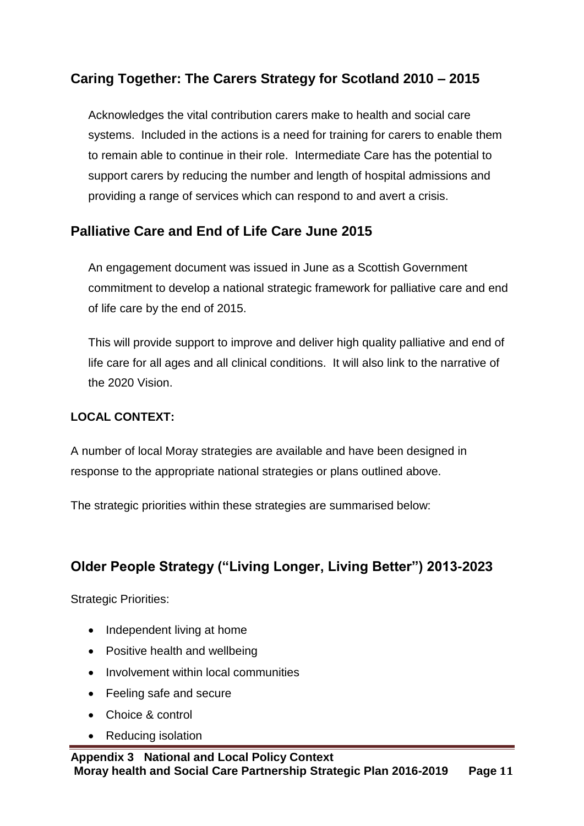# **Caring Together: The Carers Strategy for Scotland 2010 – 2015**

Acknowledges the vital contribution carers make to health and social care systems. Included in the actions is a need for training for carers to enable them to remain able to continue in their role. Intermediate Care has the potential to support carers by reducing the number and length of hospital admissions and providing a range of services which can respond to and avert a crisis.

### **Palliative Care and End of Life Care June 2015**

An engagement document was issued in June as a Scottish Government commitment to develop a national strategic framework for palliative care and end of life care by the end of 2015.

This will provide support to improve and deliver high quality palliative and end of life care for all ages and all clinical conditions. It will also link to the narrative of the 2020 Vision.

#### **LOCAL CONTEXT:**

A number of local Moray strategies are available and have been designed in response to the appropriate national strategies or plans outlined above.

The strategic priorities within these strategies are summarised below:

### **Older People Strategy ("Living Longer, Living Better") 2013-2023**

- Independent living at home
- Positive health and wellbeing
- Involvement within local communities
- Feeling safe and secure
- Choice & control
- Reducing isolation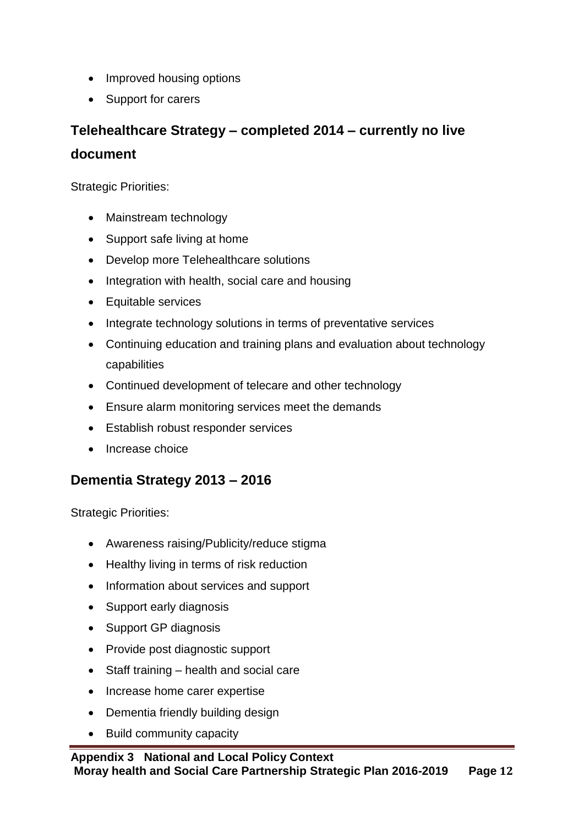- Improved housing options
- Support for carers

# **Telehealthcare Strategy – completed 2014 – currently no live document**

Strategic Priorities:

- Mainstream technology
- Support safe living at home
- Develop more Telehealthcare solutions
- Integration with health, social care and housing
- Equitable services
- Integrate technology solutions in terms of preventative services
- Continuing education and training plans and evaluation about technology capabilities
- Continued development of telecare and other technology
- Ensure alarm monitoring services meet the demands
- **Establish robust responder services**
- Increase choice

### **Dementia Strategy 2013 – 2016**

- Awareness raising/Publicity/reduce stigma
- Healthy living in terms of risk reduction
- Information about services and support
- Support early diagnosis
- Support GP diagnosis
- Provide post diagnostic support
- Staff training health and social care
- Increase home carer expertise
- Dementia friendly building design
- Build community capacity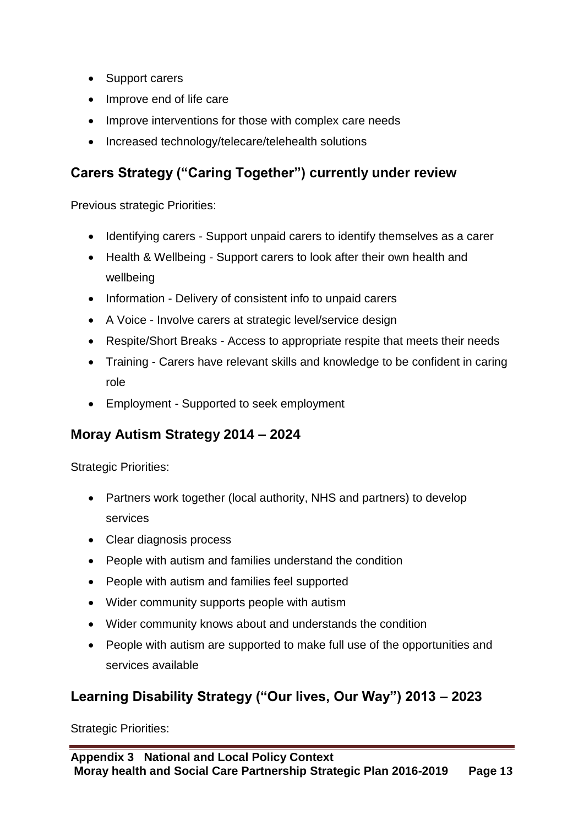- Support carers
- Improve end of life care
- Improve interventions for those with complex care needs
- Increased technology/telecare/telehealth solutions

# **Carers Strategy ("Caring Together") currently under review**

Previous strategic Priorities:

- Identifying carers Support unpaid carers to identify themselves as a carer
- Health & Wellbeing Support carers to look after their own health and wellbeing
- Information Delivery of consistent info to unpaid carers
- A Voice Involve carers at strategic level/service design
- Respite/Short Breaks Access to appropriate respite that meets their needs
- Training Carers have relevant skills and knowledge to be confident in caring role
- Employment Supported to seek employment

# **Moray Autism Strategy 2014 – 2024**

Strategic Priorities:

- Partners work together (local authority, NHS and partners) to develop services
- Clear diagnosis process
- People with autism and families understand the condition
- People with autism and families feel supported
- Wider community supports people with autism
- Wider community knows about and understands the condition
- People with autism are supported to make full use of the opportunities and services available

# **Learning Disability Strategy ("Our lives, Our Way") 2013 – 2023**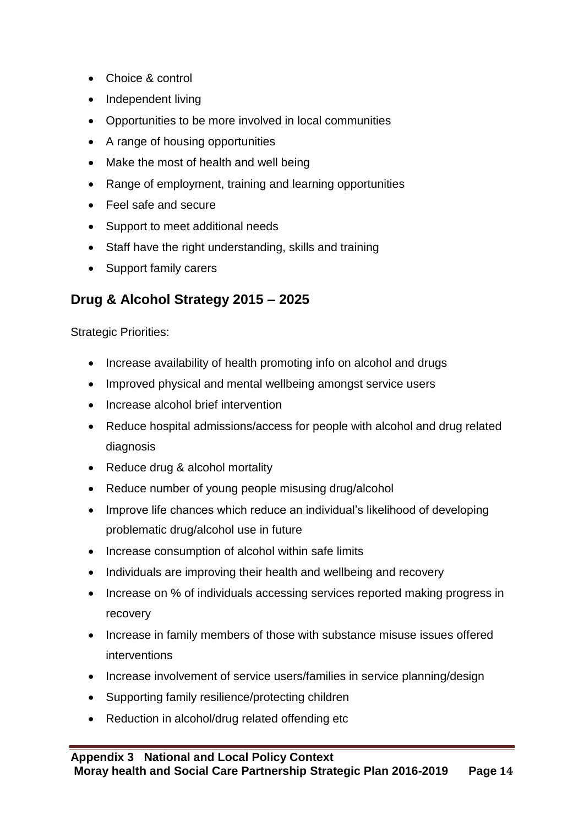- Choice & control
- Independent living
- Opportunities to be more involved in local communities
- A range of housing opportunities
- Make the most of health and well being
- Range of employment, training and learning opportunities
- Feel safe and secure
- Support to meet additional needs
- Staff have the right understanding, skills and training
- Support family carers

# **Drug & Alcohol Strategy 2015 – 2025**

- Increase availability of health promoting info on alcohol and drugs
- Improved physical and mental wellbeing amongst service users
- Increase alcohol brief intervention
- Reduce hospital admissions/access for people with alcohol and drug related diagnosis
- Reduce drug & alcohol mortality
- Reduce number of young people misusing drug/alcohol
- Improve life chances which reduce an individual's likelihood of developing problematic drug/alcohol use in future
- Increase consumption of alcohol within safe limits
- Individuals are improving their health and wellbeing and recovery
- Increase on % of individuals accessing services reported making progress in recovery
- Increase in family members of those with substance misuse issues offered interventions
- Increase involvement of service users/families in service planning/design
- Supporting family resilience/protecting children
- Reduction in alcohol/drug related offending etc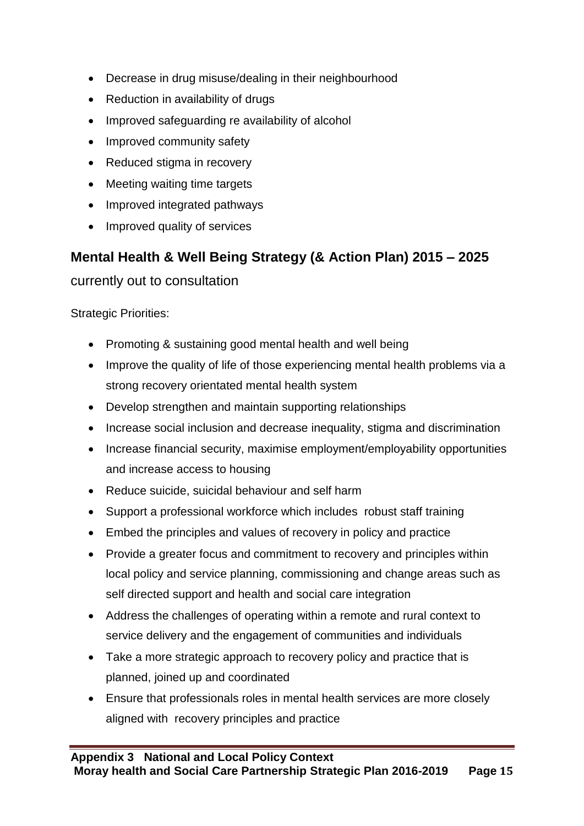- Decrease in drug misuse/dealing in their neighbourhood
- Reduction in availability of drugs
- Improved safeguarding re availability of alcohol
- Improved community safety
- Reduced stigma in recovery
- Meeting waiting time targets
- Improved integrated pathways
- Improved quality of services

### **Mental Health & Well Being Strategy (& Action Plan) 2015 – 2025**

currently out to consultation

- Promoting & sustaining good mental health and well being
- Improve the quality of life of those experiencing mental health problems via a strong recovery orientated mental health system
- Develop strengthen and maintain supporting relationships
- Increase social inclusion and decrease inequality, stigma and discrimination
- Increase financial security, maximise employment/employability opportunities and increase access to housing
- Reduce suicide, suicidal behaviour and self harm
- Support a professional workforce which includes robust staff training
- Embed the principles and values of recovery in policy and practice
- Provide a greater focus and commitment to recovery and principles within local policy and service planning, commissioning and change areas such as self directed support and health and social care integration
- Address the challenges of operating within a remote and rural context to service delivery and the engagement of communities and individuals
- Take a more strategic approach to recovery policy and practice that is planned, joined up and coordinated
- Ensure that professionals roles in mental health services are more closely aligned with recovery principles and practice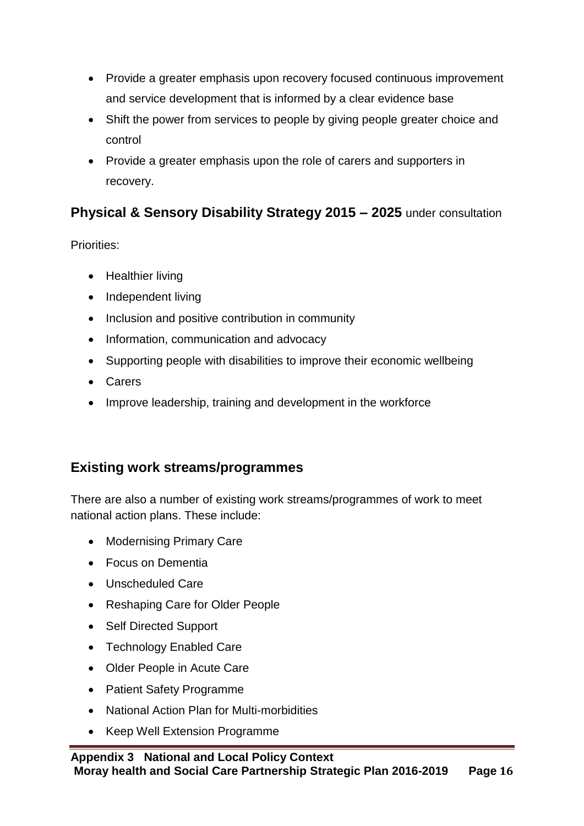- Provide a greater emphasis upon recovery focused continuous improvement and service development that is informed by a clear evidence base
- Shift the power from services to people by giving people greater choice and control
- Provide a greater emphasis upon the role of carers and supporters in recovery.

# **Physical & Sensory Disability Strategy 2015 – 2025** under consultation

Priorities:

- Healthier living
- Independent living
- Inclusion and positive contribution in community
- Information, communication and advocacy
- Supporting people with disabilities to improve their economic wellbeing
- Carers
- Improve leadership, training and development in the workforce

### **Existing work streams/programmes**

There are also a number of existing work streams/programmes of work to meet national action plans. These include:

- Modernising Primary Care
- Focus on Dementia
- Unscheduled Care
- Reshaping Care for Older People
- Self Directed Support
- Technology Enabled Care
- Older People in Acute Care
- Patient Safety Programme
- National Action Plan for Multi-morbidities
- Keep Well Extension Programme